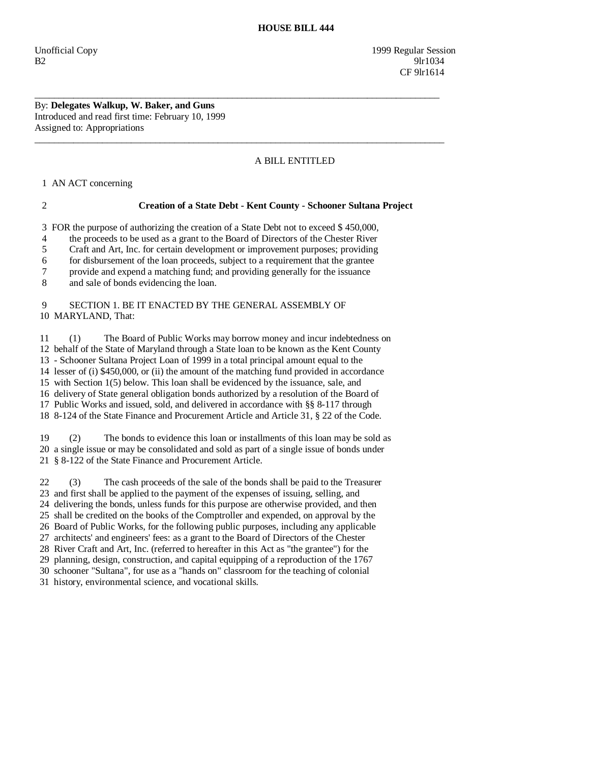Unofficial Copy 1999 Regular Session B2 9lr1034 CF 9lr1614

## By: **Delegates Walkup, W. Baker, and Guns**  Introduced and read first time: February 10, 1999 Assigned to: Appropriations

# A BILL ENTITLED

1 AN ACT concerning

# 2 **Creation of a State Debt - Kent County - Schooner Sultana Project**

3 FOR the purpose of authorizing the creation of a State Debt not to exceed \$ 450,000,

\_\_\_\_\_\_\_\_\_\_\_\_\_\_\_\_\_\_\_\_\_\_\_\_\_\_\_\_\_\_\_\_\_\_\_\_\_\_\_\_\_\_\_\_\_\_\_\_\_\_\_\_\_\_\_\_\_\_\_\_\_\_\_\_\_\_\_\_\_\_\_\_\_\_\_\_\_\_\_\_\_\_\_\_

 $\overline{\phantom{a}}$  ,  $\overline{\phantom{a}}$  ,  $\overline{\phantom{a}}$  ,  $\overline{\phantom{a}}$  ,  $\overline{\phantom{a}}$  ,  $\overline{\phantom{a}}$  ,  $\overline{\phantom{a}}$  ,  $\overline{\phantom{a}}$  ,  $\overline{\phantom{a}}$  ,  $\overline{\phantom{a}}$  ,  $\overline{\phantom{a}}$  ,  $\overline{\phantom{a}}$  ,  $\overline{\phantom{a}}$  ,  $\overline{\phantom{a}}$  ,  $\overline{\phantom{a}}$  ,  $\overline{\phantom{a}}$ 

4 the proceeds to be used as a grant to the Board of Directors of the Chester River

5 Craft and Art, Inc. for certain development or improvement purposes; providing

6 for disbursement of the loan proceeds, subject to a requirement that the grantee

7 provide and expend a matching fund; and providing generally for the issuance

8 and sale of bonds evidencing the loan.

## 9 SECTION 1. BE IT ENACTED BY THE GENERAL ASSEMBLY OF 10 MARYLAND, That:

 11 (1) The Board of Public Works may borrow money and incur indebtedness on 12 behalf of the State of Maryland through a State loan to be known as the Kent County 13 - Schooner Sultana Project Loan of 1999 in a total principal amount equal to the 14 lesser of (i) \$450,000, or (ii) the amount of the matching fund provided in accordance 15 with Section 1(5) below. This loan shall be evidenced by the issuance, sale, and 16 delivery of State general obligation bonds authorized by a resolution of the Board of 17 Public Works and issued, sold, and delivered in accordance with §§ 8-117 through 18 8-124 of the State Finance and Procurement Article and Article 31, § 22 of the Code.

 19 (2) The bonds to evidence this loan or installments of this loan may be sold as 20 a single issue or may be consolidated and sold as part of a single issue of bonds under 21 § 8-122 of the State Finance and Procurement Article.

 22 (3) The cash proceeds of the sale of the bonds shall be paid to the Treasurer 23 and first shall be applied to the payment of the expenses of issuing, selling, and 24 delivering the bonds, unless funds for this purpose are otherwise provided, and then 25 shall be credited on the books of the Comptroller and expended, on approval by the 26 Board of Public Works, for the following public purposes, including any applicable 27 architects' and engineers' fees: as a grant to the Board of Directors of the Chester 28 River Craft and Art, Inc. (referred to hereafter in this Act as "the grantee") for the 29 planning, design, construction, and capital equipping of a reproduction of the 1767 30 schooner "Sultana", for use as a "hands on" classroom for the teaching of colonial

31 history, environmental science, and vocational skills.